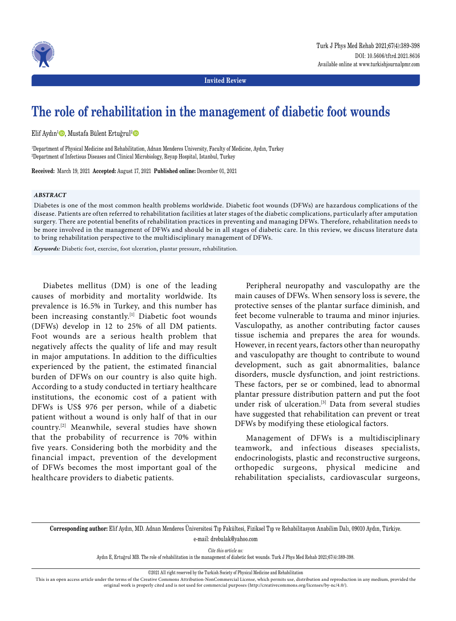

**Invited Review**

# **The role of rehabilitation in the management of diabetic foot wounds**

Elif Aydın<sup>ı</sup> D, Mustafa Bülent Ertuğrul<sup>2</sup> D

1 Department of Physical Medicine and Rehabilitation, Adnan Menderes University, Faculty of Medicine, Aydın, Turkey 2 Department of Infectious Diseases and Clinical Microbiology, Reyap Hospital, Istanbul, Turkey

**Received:** March 19, 2021 **Accepted:** August 17, 2021 **Published online:** December 01, 2021

## *ABSTRACT*

Diabetes is one of the most common health problems worldwide. Diabetic foot wounds (DFWs) are hazardous complications of the disease. Patients are often referred to rehabilitation facilities at later stages of the diabetic complications, particularly after amputation surgery. There are potential benefits of rehabilitation practices in preventing and managing DFWs. Therefore, rehabilitation needs to be more involved in the management of DFWs and should be in all stages of diabetic care. In this review, we discuss literature data to bring rehabilitation perspective to the multidisciplinary management of DFWs.

*Keywords:* Diabetic foot, exercise, foot ulceration, plantar pressure, rehabilitation.

Diabetes mellitus (DM) is one of the leading causes of morbidity and mortality worldwide. Its prevalence is 16.5% in Turkey, and this number has been increasing constantly.<sup>[1]</sup> Diabetic foot wounds (DFWs) develop in 12 to 25% of all DM patients. Foot wounds are a serious health problem that negatively affects the quality of life and may result in major amputations. In addition to the difficulties experienced by the patient, the estimated financial burden of DFWs on our country is also quite high. According to a study conducted in tertiary healthcare institutions, the economic cost of a patient with DFWs is US\$ 976 per person, while of a diabetic patient without a wound is only half of that in our country.[2] Meanwhile, several studies have shown that the probability of recurrence is 70% within five years. Considering both the morbidity and the financial impact, prevention of the development of DFWs becomes the most important goal of the healthcare providers to diabetic patients.

Peripheral neuropathy and vasculopathy are the main causes of DFWs. When sensory loss is severe, the protective senses of the plantar surface diminish, and feet become vulnerable to trauma and minor injuries. Vasculopathy, as another contributing factor causes tissue ischemia and prepares the area for wounds. However, in recent years, factors other than neuropathy and vasculopathy are thought to contribute to wound development, such as gait abnormalities, balance disorders, muscle dysfunction, and joint restrictions. These factors, per se or combined, lead to abnormal plantar pressure distribution pattern and put the foot under risk of ulceration.[3] Data from several studies have suggested that rehabilitation can prevent or treat DFWs by modifying these etiological factors.

Management of DFWs is a multidisciplinary teamwork, and infectious diseases specialists, endocrinologists, plastic and reconstructive surgeons, orthopedic surgeons, physical medicine and rehabilitation specialists, cardiovascular surgeons,

**Corresponding author:** Elif Aydın, MD. Adnan Menderes Üniversitesi Tıp Fakültesi, Fiziksel Tıp ve Rehabilitasyon Anabilim Dalı, 09010 Aydın, Türkiye. e-mail: drebulak@yahoo.com

*Cite this article as:*

Aydın E, Ertuğrul MB. The role of rehabilitation in the management of diabetic foot wounds. Turk J Phys Med Rehab 2021;67(4):389-398.

©2021 All right reserved by the Turkish Society of Physical Medicine and Rehabilitation

This is an open access article under the terms of the Creative Commons Attribution-NonCommercial License, which permits use, distribution and reproduction in any medium, provided the original work is properly cited and is not used for commercial purposes (http://creativecommons.org/licenses/by-nc/4.0/).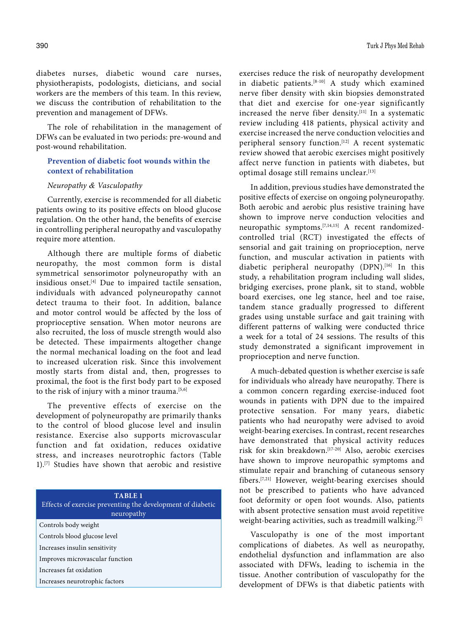The role of rehabilitation in the management of DFWs can be evaluated in two periods: pre-wound and post-wound rehabilitation.

# **Prevention of diabetic foot wounds within the context of rehabilitation**

## *Neuropathy & Vasculopathy*

Currently, exercise is recommended for all diabetic patients owing to its positive effects on blood glucose regulation. On the other hand, the benefits of exercise in controlling peripheral neuropathy and vasculopathy require more attention.

Although there are multiple forms of diabetic neuropathy, the most common form is distal symmetrical sensorimotor polyneuropathy with an insidious onset.[4] Due to impaired tactile sensation, individuals with advanced polyneuropathy cannot detect trauma to their foot. In addition, balance and motor control would be affected by the loss of proprioceptive sensation. When motor neurons are also recruited, the loss of muscle strength would also be detected. These impairments altogether change the normal mechanical loading on the foot and lead to increased ulceration risk. Since this involvement mostly starts from distal and, then, progresses to proximal, the foot is the first body part to be exposed to the risk of injury with a minor trauma.<sup>[5,6]</sup>

The preventive effects of exercise on the development of polyneuropathy are primarily thanks to the control of blood glucose level and insulin resistance. Exercise also supports microvascular function and fat oxidation, reduces oxidative stress, and increases neurotrophic factors (Table 1).[7] Studies have shown that aerobic and resistive

| <b>TABLE 1</b><br>Effects of exercise preventing the development of diabetic<br>neuropathy |
|--------------------------------------------------------------------------------------------|
| Controls body weight                                                                       |
| Controls blood glucose level                                                               |
| Increases insulin sensitivity                                                              |
| Improves microvascular function                                                            |
| Increases fat oxidation                                                                    |
| Increases neurotrophic factors                                                             |

exercises reduce the risk of neuropathy development in diabetic patients.[8-10] A study which examined nerve fiber density with skin biopsies demonstrated that diet and exercise for one-year significantly increased the nerve fiber density.[11] In a systematic review including 418 patients, physical activity and exercise increased the nerve conduction velocities and peripheral sensory function.<sup>[12]</sup> A recent systematic review showed that aerobic exercises might positively affect nerve function in patients with diabetes, but optimal dosage still remains unclear.<sup>[13]</sup>

In addition, previous studies have demonstrated the positive effects of exercise on ongoing polyneuropathy. Both aerobic and aerobic plus resistive training have shown to improve nerve conduction velocities and neuropathic symptoms.<sup>[7,14,15]</sup> A recent randomizedcontrolled trial (RCT) investigated the effects of sensorial and gait training on proprioception, nerve function, and muscular activation in patients with diabetic peripheral neuropathy (DPN).<sup>[16]</sup> In this study, a rehabilitation program including wall slides, bridging exercises, prone plank, sit to stand, wobble board exercises, one leg stance, heel and toe raise, tandem stance gradually progressed to different grades using unstable surface and gait training with different patterns of walking were conducted thrice a week for a total of 24 sessions. The results of this study demonstrated a significant improvement in proprioception and nerve function.

A much-debated question is whether exercise is safe for individuals who already have neuropathy. There is a common concern regarding exercise-induced foot wounds in patients with DPN due to the impaired protective sensation. For many years, diabetic patients who had neuropathy were advised to avoid weight-bearing exercises. In contrast, recent researches have demonstrated that physical activity reduces risk for skin breakdown.[17-20] Also, aerobic exercises have shown to improve neuropathic symptoms and stimulate repair and branching of cutaneous sensory fibers.[7,21] However, weight-bearing exercises should not be prescribed to patients who have advanced foot deformity or open foot wounds. Also, patients with absent protective sensation must avoid repetitive weight-bearing activities, such as treadmill walking.<sup>[7]</sup>

Vasculopathy is one of the most important complications of diabetes. As well as neuropathy, endothelial dysfunction and inflammation are also associated with DFWs, leading to ischemia in the tissue. Another contribution of vasculopathy for the development of DFWs is that diabetic patients with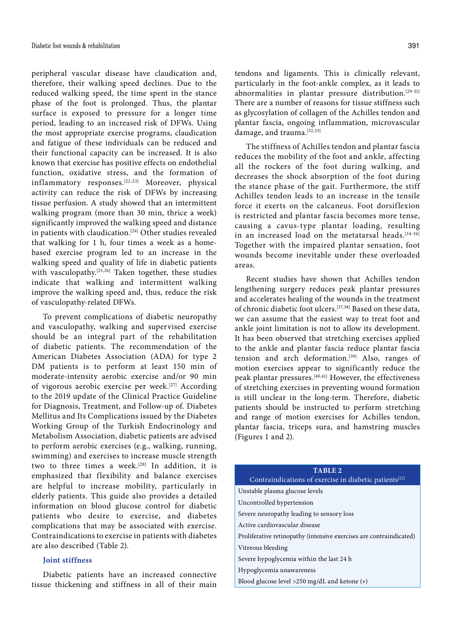peripheral vascular disease have claudication and, therefore, their walking speed declines. Due to the reduced walking speed, the time spent in the stance phase of the foot is prolonged. Thus, the plantar surface is exposed to pressure for a longer time period, leading to an increased risk of DFWs. Using the most appropriate exercise programs, claudication and fatigue of these individuals can be reduced and their functional capacity can be increased. It is also known that exercise has positive effects on endothelial function, oxidative stress, and the formation of inflammatory responses.[22,23] Moreover, physical activity can reduce the risk of DFWs by increasing tissue perfusion. A study showed that an intermittent walking program (more than 30 min, thrice a week) significantly improved the walking speed and distance in patients with claudication.<sup>[24]</sup> Other studies revealed that walking for 1 h, four times a week as a homebased exercise program led to an increase in the walking speed and quality of life in diabetic patients with vasculopathy.<sup>[25,26]</sup> Taken together, these studies indicate that walking and intermittent walking improve the walking speed and, thus, reduce the risk of vasculopathy-related DFWs.

To prevent complications of diabetic neuropathy and vasculopathy, walking and supervised exercise should be an integral part of the rehabilitation of diabetic patients. The recommendation of the American Diabetes Association (ADA) for type 2 DM patients is to perform at least 150 min of moderate-intensity aerobic exercise and/or 90 min of vigorous aerobic exercise per week.<sup>[27]</sup> According to the 2019 update of the Clinical Practice Guideline for Diagnosis, Treatment, and Follow-up of. Diabetes Mellitus and Its Complications issued by the Diabetes Working Group of the Turkish Endocrinology and Metabolism Association, diabetic patients are advised to perform aerobic exercises (e.g., walking, running, swimming) and exercises to increase muscle strength two to three times a week.<sup>[28]</sup> In addition, it is emphasized that flexibility and balance exercises are helpful to increase mobility, particularly in elderly patients. This guide also provides a detailed information on blood glucose control for diabetic patients who desire to exercise, and diabetes complications that may be associated with exercise. Contraindications to exercise in patients with diabetes are also described (Table 2).

## **Joint stiffness**

Diabetic patients have an increased connective tissue thickening and stiffness in all of their main tendons and ligaments. This is clinically relevant, particularly in the foot-ankle complex, as it leads to abnormalities in plantar pressure distribution.<sup>[29-31]</sup> There are a number of reasons for tissue stiffness such as glycosylation of collagen of the Achilles tendon and plantar fascia, ongoing inflammation, microvascular damage, and trauma.<sup>[32,33]</sup>

The stiffness of Achilles tendon and plantar fascia reduces the mobility of the foot and ankle, affecting all the rockers of the foot during walking, and decreases the shock absorption of the foot during the stance phase of the gait. Furthermore, the stiff Achilles tendon leads to an increase in the tensile force it exerts on the calcaneus. Foot dorsiflexion is restricted and plantar fascia becomes more tense, causing a cavus-type plantar loading, resulting in an increased load on the metatarsal heads.<sup>[34-36]</sup> Together with the impaired plantar sensation, foot wounds become inevitable under these overloaded areas.

Recent studies have shown that Achilles tendon lengthening surgery reduces peak plantar pressures and accelerates healing of the wounds in the treatment of chronic diabetic foot ulcers.[37,38] Based on these data, we can assume that the easiest way to treat foot and ankle joint limitation is not to allow its development. It has been observed that stretching exercises applied to the ankle and plantar fascia reduce plantar fascia tension and arch deformation.<sup>[39]</sup> Also, ranges of motion exercises appear to significantly reduce the peak plantar pressures.[40,41] However, the effectiveness of stretching exercises in preventing wound formation is still unclear in the long-term. Therefore, diabetic patients should be instructed to perform stretching and range of motion exercises for Achilles tendon, plantar fascia, triceps sura, and hamstring muscles (Figures 1 and 2).

| TABLE <sub>2</sub>                                                  |
|---------------------------------------------------------------------|
| Contraindications of exercise in diabetic patients <sup>[22]</sup>  |
| Unstable plasma glucose levels                                      |
| Uncontrolled hypertension                                           |
| Severe neuropathy leading to sensory loss                           |
| Active cardiovascular disease                                       |
| Proliferative retinopathy (intensive exercises are contraindicated) |
| Vitreous bleeding                                                   |
| Severe hypoglycemia within the last 24 h                            |
| Hypoglycemia unawareness                                            |
| Blood glucose level $>250$ mg/dL and ketone $(+)$                   |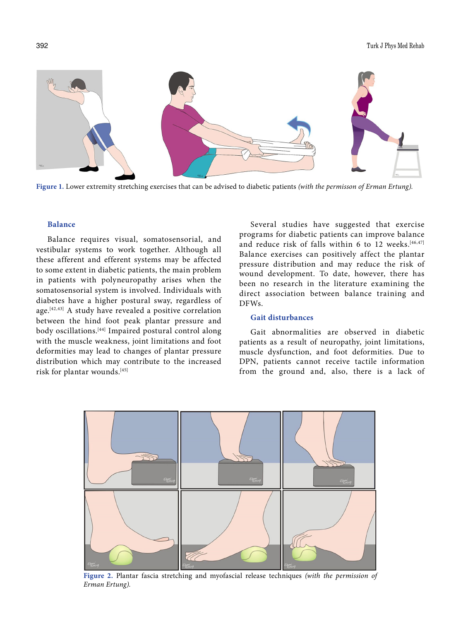

**Figure 1.** Lower extremity stretching exercises that can be advised to diabetic patients *(with the permisson of Erman Ertung).*

## **Balance**

Balance requires visual, somatosensorial, and vestibular systems to work together. Although all these afferent and efferent systems may be affected to some extent in diabetic patients, the main problem in patients with polyneuropathy arises when the somatosensorial system is involved. Individuals with diabetes have a higher postural sway, regardless of age.[42,43] A study have revealed a positive correlation between the hind foot peak plantar pressure and body oscillations.<sup>[44]</sup> Impaired postural control along with the muscle weakness, joint limitations and foot deformities may lead to changes of plantar pressure distribution which may contribute to the increased risk for plantar wounds.[45]

Several studies have suggested that exercise programs for diabetic patients can improve balance and reduce risk of falls within 6 to 12 weeks.<sup>[46,47]</sup> Balance exercises can positively affect the plantar pressure distribution and may reduce the risk of wound development. To date, however, there has been no research in the literature examining the direct association between balance training and DFWs.

# **Gait disturbances**

Gait abnormalities are observed in diabetic patients as a result of neuropathy, joint limitations, muscle dysfunction, and foot deformities. Due to DPN, patients cannot receive tactile information from the ground and, also, there is a lack of



**Figure 2.** Plantar fascia stretching and myofascial release techniques *(with the permission of Erman Ertung).*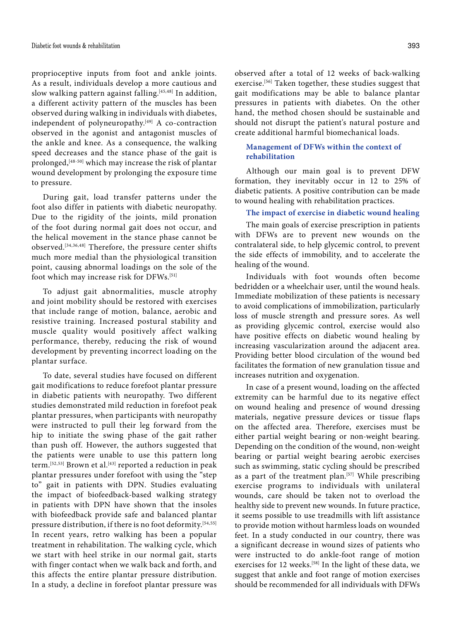proprioceptive inputs from foot and ankle joints. As a result, individuals develop a more cautious and slow walking pattern against falling.[45,48] In addition, a different activity pattern of the muscles has been observed during walking in individuals with diabetes, independent of polyneuropathy.<sup>[49]</sup> A co-contraction observed in the agonist and antagonist muscles of the ankle and knee. As a consequence, the walking speed decreases and the stance phase of the gait is prolonged,[48-50] which may increase the risk of plantar wound development by prolonging the exposure time to pressure.

During gait, load transfer patterns under the foot also differ in patients with diabetic neuropathy. Due to the rigidity of the joints, mild pronation of the foot during normal gait does not occur, and the helical movement in the stance phase cannot be observed.[34,36,48] Therefore, the pressure center shifts much more medial than the physiological transition point, causing abnormal loadings on the sole of the foot which may increase risk for DFWs.[51]

To adjust gait abnormalities, muscle atrophy and joint mobility should be restored with exercises that include range of motion, balance, aerobic and resistive training. Increased postural stability and muscle quality would positively affect walking performance, thereby, reducing the risk of wound development by preventing incorrect loading on the plantar surface.

To date, several studies have focused on different gait modifications to reduce forefoot plantar pressure in diabetic patients with neuropathy. Two different studies demonstrated mild reduction in forefoot peak plantar pressures, when participants with neuropathy were instructed to pull their leg forward from the hip to initiate the swing phase of the gait rather than push off. However, the authors suggested that the patients were unable to use this pattern long term.<sup>[52,53]</sup> Brown et al.<sup>[43]</sup> reported a reduction in peak plantar pressures under forefoot with using the "step to" gait in patients with DPN. Studies evaluating the impact of biofeedback-based walking strategy in patients with DPN have shown that the insoles with biofeedback provide safe and balanced plantar pressure distribution, if there is no foot deformity.<sup>[54,55]</sup> In recent years, retro walking has been a popular treatment in rehabilitation. The walking cycle, which we start with heel strike in our normal gait, starts with finger contact when we walk back and forth, and this affects the entire plantar pressure distribution. In a study, a decline in forefoot plantar pressure was

observed after a total of 12 weeks of back-walking exercise.<sup>[56]</sup> Taken together, these studies suggest that gait modifications may be able to balance plantar pressures in patients with diabetes. On the other hand, the method chosen should be sustainable and should not disrupt the patient's natural posture and create additional harmful biomechanical loads.

## **Management of DFWs within the context of rehabilitation**

Although our main goal is to prevent DFW formation, they inevitably occur in 12 to 25% of diabetic patients. A positive contribution can be made to wound healing with rehabilitation practices.

**The impact of exercise in diabetic wound healing**

The main goals of exercise prescription in patients with DFWs are to prevent new wounds on the contralateral side, to help glycemic control, to prevent the side effects of immobility, and to accelerate the healing of the wound.

Individuals with foot wounds often become bedridden or a wheelchair user, until the wound heals. Immediate mobilization of these patients is necessary to avoid complications of immobilization, particularly loss of muscle strength and pressure sores. As well as providing glycemic control, exercise would also have positive effects on diabetic wound healing by increasing vascularization around the adjacent area. Providing better blood circulation of the wound bed facilitates the formation of new granulation tissue and increases nutrition and oxygenation.

In case of a present wound, loading on the affected extremity can be harmful due to its negative effect on wound healing and presence of wound dressing materials, negative pressure devices or tissue flaps on the affected area. Therefore, exercises must be either partial weight bearing or non-weight bearing. Depending on the condition of the wound, non-weight bearing or partial weight bearing aerobic exercises such as swimming, static cycling should be prescribed as a part of the treatment plan.<sup>[57]</sup> While prescribing exercise programs to individuals with unilateral wounds, care should be taken not to overload the healthy side to prevent new wounds. In future practice, it seems possible to use treadmills with lift assistance to provide motion without harmless loads on wounded feet. In a study conducted in our country, there was a significant decrease in wound sizes of patients who were instructed to do ankle-foot range of motion exercises for 12 weeks.<sup>[58]</sup> In the light of these data, we suggest that ankle and foot range of motion exercises should be recommended for all individuals with DFWs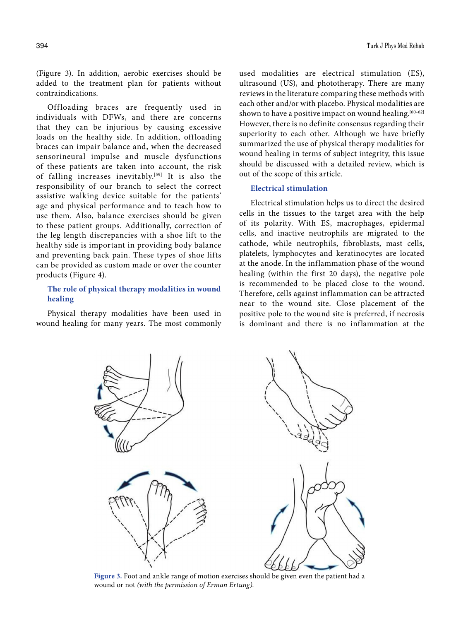(Figure 3). In addition, aerobic exercises should be added to the treatment plan for patients without contraindications.

Offloading braces are frequently used in individuals with DFWs, and there are concerns that they can be injurious by causing excessive loads on the healthy side. In addition, offloading braces can impair balance and, when the decreased sensorineural impulse and muscle dysfunctions of these patients are taken into account, the risk of falling increases inevitably.<sup>[59]</sup> It is also the responsibility of our branch to select the correct assistive walking device suitable for the patients' age and physical performance and to teach how to use them. Also, balance exercises should be given to these patient groups. Additionally, correction of the leg length discrepancies with a shoe lift to the healthy side is important in providing body balance and preventing back pain. These types of shoe lifts can be provided as custom made or over the counter products (Figure 4).

# **The role of physical therapy modalities in wound healing**

Physical therapy modalities have been used in wound healing for many years. The most commonly used modalities are electrical stimulation (ES), ultrasound (US), and phototherapy. There are many reviews in the literature comparing these methods with each other and/or with placebo. Physical modalities are shown to have a positive impact on wound healing.[60-62] However, there is no definite consensus regarding their superiority to each other. Although we have briefly summarized the use of physical therapy modalities for wound healing in terms of subject integrity, this issue should be discussed with a detailed review, which is out of the scope of this article.

## **Electrical stimulation**

Electrical stimulation helps us to direct the desired cells in the tissues to the target area with the help of its polarity. With ES, macrophages, epidermal cells, and inactive neutrophils are migrated to the cathode, while neutrophils, fibroblasts, mast cells, platelets, lymphocytes and keratinocytes are located at the anode. In the inflammation phase of the wound healing (within the first 20 days), the negative pole is recommended to be placed close to the wound. Therefore, cells against inflammation can be attracted near to the wound site. Close placement of the positive pole to the wound site is preferred, if necrosis is dominant and there is no inflammation at the



**Figure 3.** Foot and ankle range of motion exercises should be given even the patient had a wound or not *(with the permission of Erman Ertung).*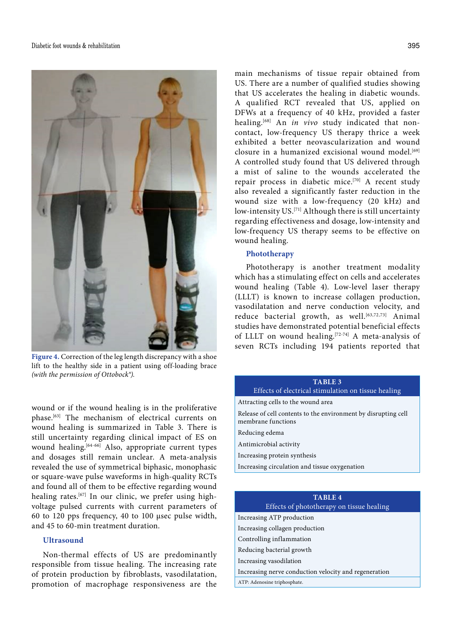

**Figure 4.** Correction of the leg length discrepancy with a shoe lift to the healthy side in a patient using off-loading brace *(with the permission of Ottobock®).*

wound or if the wound healing is in the proliferative phase.[63] The mechanism of electrical currents on wound healing is summarized in Table 3. There is still uncertainty regarding clinical impact of ES on wound healing.<sup>[64-66]</sup> Also, appropriate current types and dosages still remain unclear. A meta-analysis revealed the use of symmetrical biphasic, monophasic or square-wave pulse waveforms in high-quality RCTs and found all of them to be effective regarding wound healing rates.<sup>[67]</sup> In our clinic, we prefer using highvoltage pulsed currents with current parameters of 60 to 120 pps frequency, 40 to 100 μsec pulse width, and 45 to 60-min treatment duration.

## **Ultrasound**

Non-thermal effects of US are predominantly responsible from tissue healing. The increasing rate of protein production by fibroblasts, vasodilatation, promotion of macrophage responsiveness are the main mechanisms of tissue repair obtained from US. There are a number of qualified studies showing that US accelerates the healing in diabetic wounds. A qualified RCT revealed that US, applied on DFWs at a frequency of 40 kHz, provided a faster healing.[68] An *in vivo* study indicated that noncontact, low-frequency US therapy thrice a week exhibited a better neovascularization and wound  $\alpha$ closure in a humanized excisional wound model<sup>[69]</sup> A controlled study found that US delivered through a mist of saline to the wounds accelerated the repair process in diabetic mice.[70] A recent study also revealed a significantly faster reduction in the wound size with a low-frequency (20 kHz) and low-intensity US.<sup>[71]</sup> Although there is still uncertainty regarding effectiveness and dosage, low-intensity and low-frequency US therapy seems to be effective on wound healing.

#### **Phototherapy**

Phototherapy is another treatment modality which has a stimulating effect on cells and accelerates wound healing (Table 4). Low-level laser therapy (LLLT) is known to increase collagen production, vasodilatation and nerve conduction velocity, and reduce bacterial growth, as well.<sup>[63,72,73]</sup> Animal studies have demonstrated potential beneficial effects of LLLT on wound healing.<sup>[72-74]</sup> A meta-analysis of seven RCTs including 194 patients reported that

| TABLE <sub>3</sub><br>Effects of electrical stimulation on tissue healing            |
|--------------------------------------------------------------------------------------|
| Attracting cells to the wound area                                                   |
| Release of cell contents to the environment by disrupting cell<br>membrane functions |
| Reducing edema                                                                       |
| Antimicrobial activity                                                               |
| Increasing protein synthesis                                                         |
| Increasing circulation and tissue oxygenation                                        |
|                                                                                      |

# **TABLE 4**

Effects of phototherapy on tissue healing

Increasing ATP production

Increasing collagen production

Controlling inflammation

Reducing bacterial growth

Increasing vasodilation

Increasing nerve conduction velocity and regeneration

ATP: Adenosine triphosphate.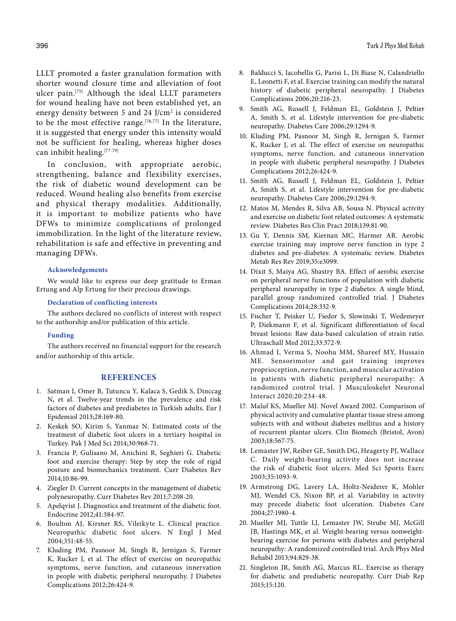LLLT promoted a faster granulation formation with shorter wound closure time and alleviation of foot ulcer pain.[75] Although the ideal LLLT parameters for wound healing have not been established yet, an energy density between 5 and 24 J/cm<sup>2</sup> is considered to be the most effective range.[76,77] In the literature, it is suggested that energy under this intensity would not be sufficient for healing, whereas higher doses can inhibit healing.[77-79]

In conclusion, with appropriate aerobic, strengthening, balance and flexibility exercises, the risk of diabetic wound development can be reduced. Wound healing also benefits from exercise and physical therapy modalities. Additionally, it is important to mobilize patients who have DFWs to minimize complications of prolonged immobilization. In the light of the literature review, rehabilitation is safe and effective in preventing and managing DFWs.

#### **Acknowledgements**

We would like to express our deep gratitude to Erman Ertung and Alp Ertung for their precious drawings.

#### **Declaration of conflicting interests**

The authors declared no conflicts of interest with respect to the authorship and/or publication of this article.

## **Funding**

The authors received no financial support for the research and/or authorship of this article.

## **REFERENCES**

- 1. Satman I, Omer B, Tutuncu Y, Kalaca S, Gedik S, Dinccag N, et al. Twelve-year trends in the prevalence and risk factors of diabetes and prediabetes in Turkish adults. Eur J Epidemiol 2013;28:169-80.
- 2. Keskek SO, Kirim S, Yanmaz N. Estimated costs of the treatment of diabetic foot ulcers in a tertiary hospital in Turkey. Pak J Med Sci 2014;30:968-71.
- 3. Francia P, Gulisano M, Anichini R, Seghieri G. Diabetic foot and exercise therapy: Step by step the role of rigid posture and biomechanics treatment. Curr Diabetes Rev 2014;10:86-99.
- 4. Ziegler D. Current concepts in the management of diabetic polyneuropathy. Curr Diabetes Rev 2011;7:208-20.
- 5. Apelqvist J. Diagnostics and treatment of the diabetic foot. Endocrine 2012;41:384-97.
- 6. Boulton AJ, Kirsner RS, Vileikyte L. Clinical practice. Neuropathic diabetic foot ulcers. N Engl J Med 2004;351:48-55.
- 7. Kluding PM, Pasnoor M, Singh R, Jernigan S, Farmer K, Rucker J, et al. The effect of exercise on neuropathic symptoms, nerve function, and cutaneous innervation in people with diabetic peripheral neuropathy. J Diabetes Complications 2012;26:424-9.
- 8. Balducci S, Iacobellis G, Parisi L, Di Biase N, Calandriello E, Leonetti F, et al. Exercise training can modify the natural history of diabetic peripheral neuropathy. J Diabetes Complications 2006;20:216-23.
- 9. Smith AG, Russell J, Feldman EL, Goldstein J, Peltier A, Smith S, et al. Lifestyle intervention for pre-diabetic neuropathy. Diabetes Care 2006;29:1294-9.
- 10. Kluding PM, Pasnoor M, Singh R, Jernigan S, Farmer K, Rucker J, et al. The effect of exercise on neuropathic symptoms, nerve function, and cutaneous innervation in people with diabetic peripheral neuropathy. J Diabetes Complications 2012;26:424-9.
- 11. Smith AG, Russell J, Feldman EL, Goldstein J, Peltier A, Smith S, et al. Lifestyle intervention for pre-diabetic neuropathy. Diabetes Care 2006;29:1294-9.
- 12. Matos M, Mendes R, Silva AB, Sousa N. Physical activity and exercise on diabetic foot related outcomes: A systematic review. Diabetes Res Clin Pract 2018;139:81-90.
- 13. Gu Y, Dennis SM, Kiernan MC, Harmer AR. Aerobic exercise training may improve nerve function in type 2 diabetes and pre-diabetes: A systematic review. Diabetes Metab Res Rev 2019;35:e3099.
- 14. Dixit S, Maiya AG, Shastry BA. Effect of aerobic exercise on peripheral nerve functions of population with diabetic peripheral neuropathy in type 2 diabetes: A single blind, parallel group randomized controlled trial. J Diabetes Complications 2014;28:332-9.
- 15. Fischer T, Peisker U, Fiedor S, Slowinski T, Wedemeyer P, Diekmann F, et al. Significant differentiation of focal breast lesions: Raw data-based calculation of strain ratio. Ultraschall Med 2012;33:372-9.
- 16. Ahmad I, Verma S, Noohu MM, Shareef MY, Hussain ME. Sensorimotor and gait training improves proprioception, nerve function, and muscular activation in patients with diabetic peripheral neuropathy: A randomized control trial. J Musculoskelet Neuronal Interact 2020;20:234-48.
- 17. Maluf KS, Mueller MJ. Novel Award 2002. Comparison of physical activity and cumulative plantar tissue stress among subjects with and without diabetes mellitus and a history of recurrent plantar ulcers. Clin Biomech (Bristol, Avon) 2003;18:567-75.
- 18. Lemaster JW, Reiber GE, Smith DG, Heagerty PJ, Wallace C. Daily weight-bearing activity does not increase the risk of diabetic foot ulcers. Med Sci Sports Exerc 2003;35:1093-9.
- 19. Armstrong DG, Lavery LA, Holtz-Neiderer K, Mohler MJ, Wendel CS, Nixon BP, et al. Variability in activity may precede diabetic foot ulceration. Diabetes Care 2004;27:1980-4.
- 20. Mueller MJ, Tuttle LJ, Lemaster JW, Strube MJ, McGill JB, Hastings MK, et al. Weight-bearing versus nonweightbearing exercise for persons with diabetes and peripheral neuropathy: A randomized controlled trial. Arch Phys Med Rehabil 2013;94:829-38.
- 21. Singleton JR, Smith AG, Marcus RL. Exercise as therapy for diabetic and prediabetic neuropathy. Curr Diab Rep 2015;15:120.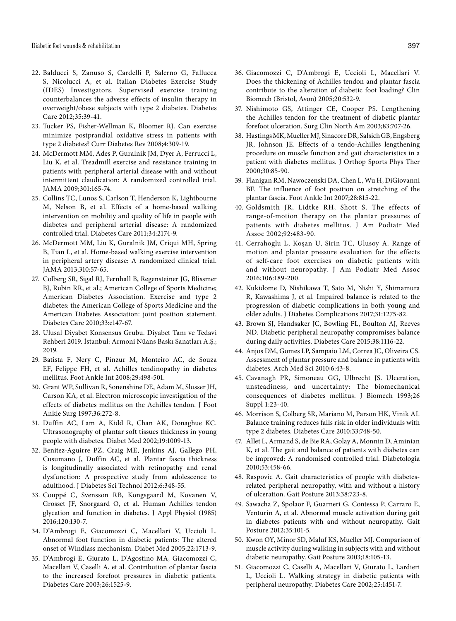- 22. Balducci S, Zanuso S, Cardelli P, Salerno G, Fallucca S, Nicolucci A, et al. Italian Diabetes Exercise Study (IDES) Investigators. Supervised exercise training counterbalances the adverse effects of insulin therapy in overweight/obese subjects with type 2 diabetes. Diabetes Care 2012;35:39-41.
- 23. Tucker PS, Fisher-Wellman K, Bloomer RJ. Can exercise minimize postprandial oxidative stress in patients with type 2 diabetes? Curr Diabetes Rev 2008;4:309-19.
- 24. McDermott MM, Ades P, Guralnik JM, Dyer A, Ferrucci L, Liu K, et al. Treadmill exercise and resistance training in patients with peripheral arterial disease with and without intermittent claudication: A randomized controlled trial. JAMA 2009;301:165-74.
- 25. Collins TC, Lunos S, Carlson T, Henderson K, Lightbourne M, Nelson B, et al. Effects of a home-based walking intervention on mobility and quality of life in people with diabetes and peripheral arterial disease: A randomized controlled trial. Diabetes Care 2011;34:2174-9.
- 26. McDermott MM, Liu K, Guralnik JM, Criqui MH, Spring B, Tian L, et al. Home-based walking exercise intervention in peripheral artery disease: A randomized clinical trial. JAMA 2013;310:57-65.
- 27. Colberg SR, Sigal RJ, Fernhall B, Regensteiner JG, Blissmer BJ, Rubin RR, et al.; American College of Sports Medicine; American Diabetes Association. Exercise and type 2 diabetes: the American College of Sports Medicine and the American Diabetes Association: joint position statement. Diabetes Care 2010;33:e147-67.
- 28. Ulusal Diyabet Konsensus Grubu. Diyabet Tanı ve Tedavi Rehberi 2019. İstanbul: Armoni Nüans Baskı Sanatları A.Ş.; 2019.
- 29. Batista F, Nery C, Pinzur M, Monteiro AC, de Souza EF, Felippe FH, et al. Achilles tendinopathy in diabetes mellitus. Foot Ankle Int 2008;29:498-501.
- 30. Grant WP, Sullivan R, Sonenshine DE, Adam M, Slusser JH, Carson KA, et al. Electron microscopic investigation of the effects of diabetes mellitus on the Achilles tendon. J Foot Ankle Surg 1997;36:272-8.
- 31. Duffin AC, Lam A, Kidd R, Chan AK, Donaghue KC. Ultrasonography of plantar soft tissues thickness in young people with diabetes. Diabet Med 2002;19:1009-13.
- 32. Benitez-Aguirre PZ, Craig ME, Jenkins AJ, Gallego PH, Cusumano J, Duffin AC, et al. Plantar fascia thickness is longitudinally associated with retinopathy and renal dysfunction: A prospective study from adolescence to adulthood. J Diabetes Sci Technol 2012;6:348-55.
- 33. Couppé C, Svensson RB, Kongsgaard M, Kovanen V, Grosset JF, Snorgaard O, et al. Human Achilles tendon glycation and function in diabetes. J Appl Physiol (1985) 2016;120:130-7.
- 34. D'Ambrogi E, Giacomozzi C, Macellari V, Uccioli L. Abnormal foot function in diabetic patients: The altered onset of Windlass mechanism. Diabet Med 2005;22:1713-9.
- 35. D'Ambrogi E, Giurato L, D'Agostino MA, Giacomozzi C, Macellari V, Caselli A, et al. Contribution of plantar fascia to the increased forefoot pressures in diabetic patients. Diabetes Care 2003;26:1525-9.
- 36. Giacomozzi C, D'Ambrogi E, Uccioli L, Macellari V. Does the thickening of Achilles tendon and plantar fascia contribute to the alteration of diabetic foot loading? Clin Biomech (Bristol, Avon) 2005;20:532-9.
- 37. Nishimoto GS, Attinger CE, Cooper PS. Lengthening the Achilles tendon for the treatment of diabetic plantar forefoot ulceration. Surg Clin North Am 2003;83:707-26.
- 38. Hastings MK, Mueller MJ, Sinacore DR, Salsich GB, Engsberg JR, Johnson JE. Effects of a tendo-Achilles lengthening procedure on muscle function and gait characteristics in a patient with diabetes mellitus. J Orthop Sports Phys Ther 2000;30:85-90.
- 39. Flanigan RM, Nawoczenski DA, Chen L, Wu H, DiGiovanni BF. The influence of foot position on stretching of the plantar fascia. Foot Ankle Int 2007;28:815-22.
- 40. Goldsmith JR, Lidtke RH, Shott S. The effects of range-of-motion therapy on the plantar pressures of patients with diabetes mellitus. J Am Podiatr Med Assoc 2002;92:483-90.
- 41. Cerrahoglu L, Koşan U, Sirin TC, Ulusoy A. Range of motion and plantar pressure evaluation for the effects of self-care foot exercises on diabetic patients with and without neuropathy. J Am Podiatr Med Assoc 2016;106:189-200.
- 42. Kukidome D, Nishikawa T, Sato M, Nishi Y, Shimamura R, Kawashima J, et al. Impaired balance is related to the progression of diabetic complications in both young and older adults. J Diabetes Complications 2017;31:1275-82.
- 43. Brown SJ, Handsaker JC, Bowling FL, Boulton AJ, Reeves ND. Diabetic peripheral neuropathy compromises balance during daily activities. Diabetes Care 2015;38:1116-22.
- 44. Anjos DM, Gomes LP, Sampaio LM, Correa JC, Oliveira CS. Assessment of plantar pressure and balance in patients with diabetes. Arch Med Sci 2010;6:43-8.
- 45. Cavanagh PR, Simoneau GG, Ulbrecht JS. Ulceration, unsteadiness, and uncertainty: The biomechanical consequences of diabetes mellitus. J Biomech 1993;26 Suppl 1:23-40.
- 46. Morrison S, Colberg SR, Mariano M, Parson HK, Vinik AI. Balance training reduces falls risk in older individuals with type 2 diabetes. Diabetes Care 2010;33:748-50.
- 47. Allet L, Armand S, de Bie RA, Golay A, Monnin D, Aminian K, et al. The gait and balance of patients with diabetes can be improved: A randomised controlled trial. Diabetologia 2010;53:458-66.
- 48. Raspovic A. Gait characteristics of people with diabetesrelated peripheral neuropathy, with and without a history of ulceration. Gait Posture 2013;38:723-8.
- 49. Sawacha Z, Spolaor F, Guarneri G, Contessa P, Carraro E, Venturin A, et al. Abnormal muscle activation during gait in diabetes patients with and without neuropathy. Gait Posture 2012;35:101-5.
- 50. Kwon OY, Minor SD, Maluf KS, Mueller MJ. Comparison of muscle activity during walking in subjects with and without diabetic neuropathy. Gait Posture 2003;18:105-13.
- 51. Giacomozzi C, Caselli A, Macellari V, Giurato L, Lardieri L, Uccioli L. Walking strategy in diabetic patients with peripheral neuropathy. Diabetes Care 2002;25:1451-7.